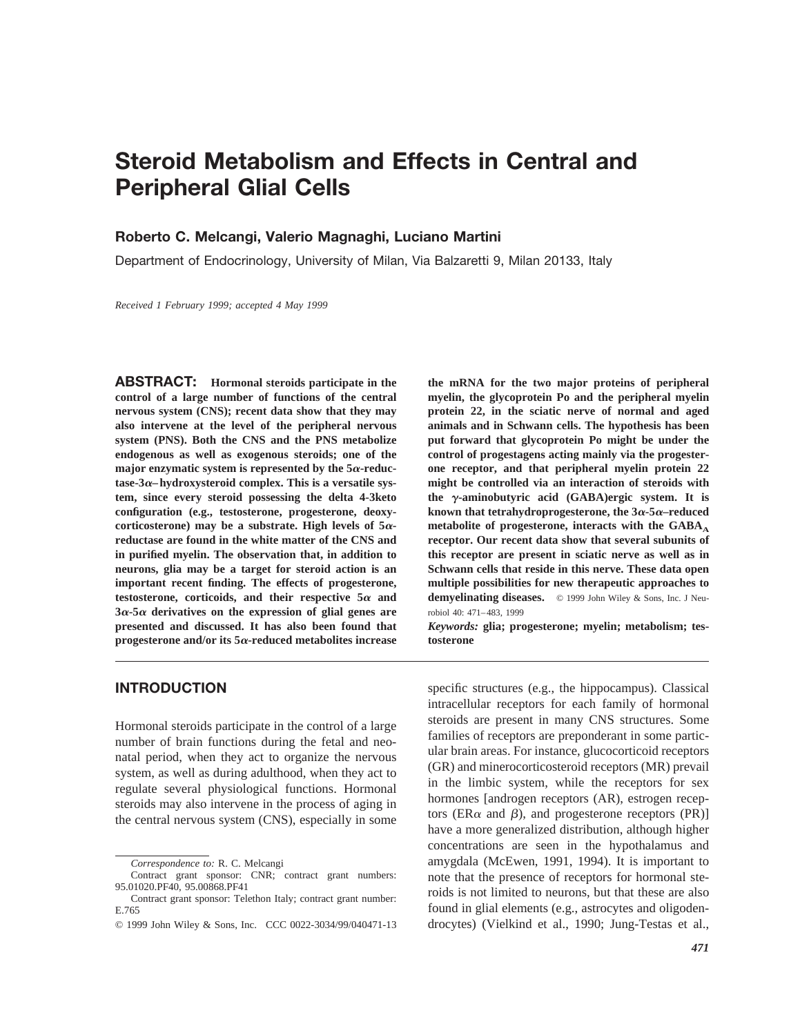# **Steroid Metabolism and Effects in Central and Peripheral Glial Cells**

## **Roberto C. Melcangi, Valerio Magnaghi, Luciano Martini**

Department of Endocrinology, University of Milan, Via Balzaretti 9, Milan 20133, Italy

*Received 1 February 1999; accepted 4 May 1999*

**ABSTRACT: Hormonal steroids participate in the control of a large number of functions of the central nervous system (CNS); recent data show that they may also intervene at the level of the peripheral nervous system (PNS). Both the CNS and the PNS metabolize endogenous as well as exogenous steroids; one of the** major enzymatic system is represented by the  $5\alpha$ -reduc**tase-3**a**–hydroxysteroid complex. This is a versatile system, since every steroid possessing the delta 4-3keto configuration (e.g., testosterone, progesterone, deoxy**corticosterone) may be a substrate. High levels of  $5\alpha$ **reductase are found in the white matter of the CNS and in purified myelin. The observation that, in addition to neurons, glia may be a target for steroid action is an important recent finding. The effects of progesterone,** testosterone, corticoids, and their respective  $5\alpha$  and **3**a**-5**<sup>a</sup> **derivatives on the expression of glial genes are presented and discussed. It has also been found that progesterone and/or its 5**a**-reduced metabolites increase** **the mRNA for the two major proteins of peripheral myelin, the glycoprotein Po and the peripheral myelin protein 22, in the sciatic nerve of normal and aged animals and in Schwann cells. The hypothesis has been put forward that glycoprotein Po might be under the control of progestagens acting mainly via the progesterone receptor, and that peripheral myelin protein 22 might be controlled via an interaction of steroids with the** <sup>g</sup>**-aminobutyric acid (GABA)ergic system. It is known that tetrahydroprogesterone, the 3**a**-5**a**–reduced** metabolite of progesterone, interacts with the GABA<sub>A</sub> **receptor. Our recent data show that several subunits of this receptor are present in sciatic nerve as well as in Schwann cells that reside in this nerve. These data open multiple possibilities for new therapeutic approaches to** demyelinating diseases. © 1999 John Wiley & Sons, Inc. J Neurobiol 40: 471–483, 1999

*Keywords:* **glia; progesterone; myelin; metabolism; testosterone**

#### **INTRODUCTION**

Hormonal steroids participate in the control of a large number of brain functions during the fetal and neonatal period, when they act to organize the nervous system, as well as during adulthood, when they act to regulate several physiological functions. Hormonal steroids may also intervene in the process of aging in the central nervous system (CNS), especially in some specific structures (e.g., the hippocampus). Classical intracellular receptors for each family of hormonal steroids are present in many CNS structures. Some families of receptors are preponderant in some particular brain areas. For instance, glucocorticoid receptors (GR) and minerocorticosteroid receptors (MR) prevail in the limbic system, while the receptors for sex hormones [androgen receptors (AR), estrogen receptors (ER $\alpha$  and  $\beta$ ), and progesterone receptors (PR)] have a more generalized distribution, although higher concentrations are seen in the hypothalamus and amygdala (McEwen, 1991, 1994). It is important to note that the presence of receptors for hormonal steroids is not limited to neurons, but that these are also found in glial elements (e.g., astrocytes and oligodendrocytes) (Vielkind et al., 1990; Jung-Testas et al.,

*Correspondence to:* R. C. Melcangi

Contract grant sponsor: CNR; contract grant numbers: 95.01020.PF40, 95.00868.PF41

Contract grant sponsor: Telethon Italy; contract grant number: E.765

<sup>© 1999</sup> John Wiley & Sons, Inc. CCC 0022-3034/99/040471-13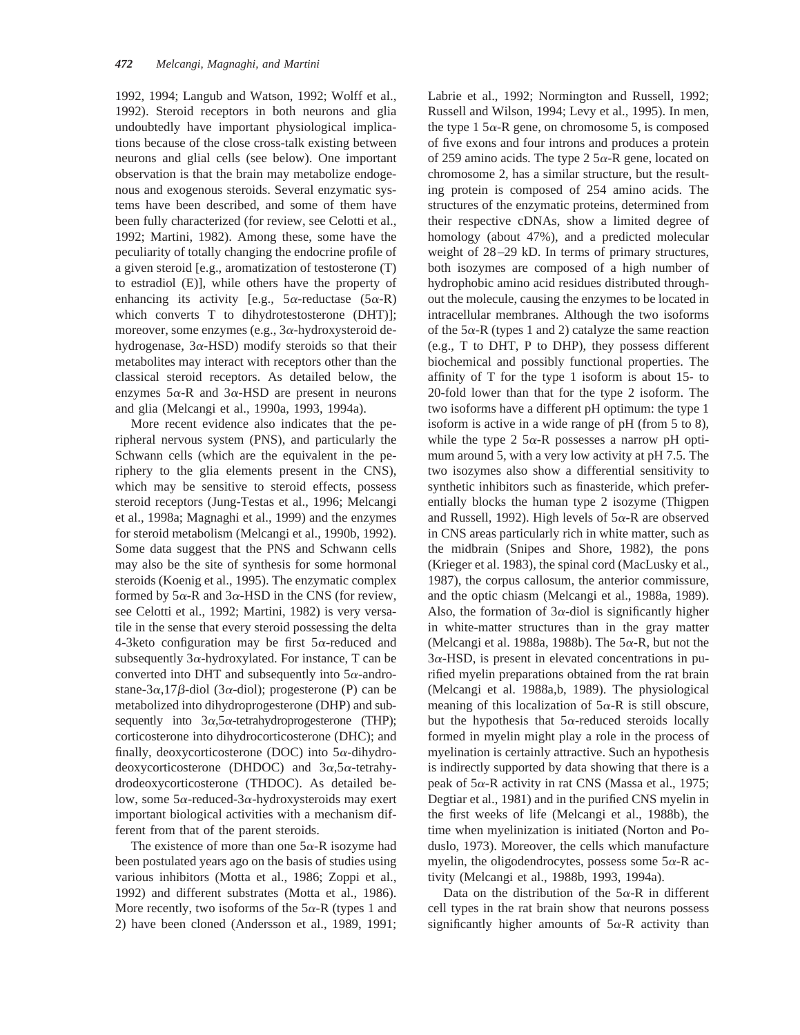1992, 1994; Langub and Watson, 1992; Wolff et al., 1992). Steroid receptors in both neurons and glia undoubtedly have important physiological implications because of the close cross-talk existing between neurons and glial cells (see below). One important observation is that the brain may metabolize endogenous and exogenous steroids. Several enzymatic systems have been described, and some of them have been fully characterized (for review, see Celotti et al., 1992; Martini, 1982). Among these, some have the peculiarity of totally changing the endocrine profile of a given steroid [e.g., aromatization of testosterone (T) to estradiol (E)], while others have the property of enhancing its activity [e.g.,  $5\alpha$ -reductase  $(5\alpha$ -R) which converts T to dihydrotestosterone (DHT)]; moreover, some enzymes (e.g.,  $3\alpha$ -hydroxysteroid dehydrogenase,  $3\alpha$ -HSD) modify steroids so that their metabolites may interact with receptors other than the classical steroid receptors. As detailed below, the enzymes  $5\alpha$ -R and  $3\alpha$ -HSD are present in neurons and glia (Melcangi et al., 1990a, 1993, 1994a).

More recent evidence also indicates that the peripheral nervous system (PNS), and particularly the Schwann cells (which are the equivalent in the periphery to the glia elements present in the CNS), which may be sensitive to steroid effects, possess steroid receptors (Jung-Testas et al., 1996; Melcangi et al., 1998a; Magnaghi et al., 1999) and the enzymes for steroid metabolism (Melcangi et al., 1990b, 1992). Some data suggest that the PNS and Schwann cells may also be the site of synthesis for some hormonal steroids (Koenig et al., 1995). The enzymatic complex formed by  $5\alpha$ -R and  $3\alpha$ -HSD in the CNS (for review, see Celotti et al., 1992; Martini, 1982) is very versatile in the sense that every steroid possessing the delta 4-3keto configuration may be first  $5\alpha$ -reduced and subsequently  $3\alpha$ -hydroxylated. For instance, T can be converted into DHT and subsequently into  $5\alpha$ -androstane-3 $\alpha$ ,17 $\beta$ -diol (3 $\alpha$ -diol); progesterone (P) can be metabolized into dihydroprogesterone (DHP) and subsequently into  $3\alpha, 5\alpha$ -tetrahydroprogesterone (THP); corticosterone into dihydrocorticosterone (DHC); and finally, deoxycorticosterone (DOC) into  $5\alpha$ -dihydrodeoxycorticosterone (DHDOC) and  $3\alpha, 5\alpha$ -tetrahydrodeoxycorticosterone (THDOC). As detailed below, some  $5\alpha$ -reduced-3 $\alpha$ -hydroxysteroids may exert important biological activities with a mechanism different from that of the parent steroids.

The existence of more than one  $5\alpha$ -R isozyme had been postulated years ago on the basis of studies using various inhibitors (Motta et al., 1986; Zoppi et al., 1992) and different substrates (Motta et al., 1986). More recently, two isoforms of the  $5\alpha$ -R (types 1 and 2) have been cloned (Andersson et al., 1989, 1991;

Labrie et al., 1992; Normington and Russell, 1992; Russell and Wilson, 1994; Levy et al., 1995). In men, the type 1  $5\alpha$ -R gene, on chromosome 5, is composed of five exons and four introns and produces a protein of 259 amino acids. The type 2  $5\alpha$ -R gene, located on chromosome 2, has a similar structure, but the resulting protein is composed of 254 amino acids. The structures of the enzymatic proteins, determined from their respective cDNAs, show a limited degree of homology (about 47%), and a predicted molecular weight of 28–29 kD. In terms of primary structures, both isozymes are composed of a high number of hydrophobic amino acid residues distributed throughout the molecule, causing the enzymes to be located in intracellular membranes. Although the two isoforms of the  $5\alpha$ -R (types 1 and 2) catalyze the same reaction (e.g., T to DHT, P to DHP), they possess different biochemical and possibly functional properties. The affinity of  $T$  for the type 1 isoform is about 15- to 20-fold lower than that for the type 2 isoform. The two isoforms have a different pH optimum: the type 1 isoform is active in a wide range of pH (from 5 to 8), while the type 2  $5\alpha$ -R possesses a narrow pH optimum around 5, with a very low activity at pH 7.5. The two isozymes also show a differential sensitivity to synthetic inhibitors such as finasteride, which preferentially blocks the human type 2 isozyme (Thigpen and Russell, 1992). High levels of  $5\alpha$ -R are observed in CNS areas particularly rich in white matter, such as the midbrain (Snipes and Shore, 1982), the pons (Krieger et al. 1983), the spinal cord (MacLusky et al., 1987), the corpus callosum, the anterior commissure, and the optic chiasm (Melcangi et al., 1988a, 1989). Also, the formation of  $3\alpha$ -diol is significantly higher in white-matter structures than in the gray matter (Melcangi et al. 1988a, 1988b). The  $5\alpha$ -R, but not the  $3\alpha$ -HSD, is present in elevated concentrations in purified myelin preparations obtained from the rat brain (Melcangi et al. 1988a,b, 1989). The physiological meaning of this localization of  $5\alpha$ -R is still obscure, but the hypothesis that  $5\alpha$ -reduced steroids locally formed in myelin might play a role in the process of myelination is certainly attractive. Such an hypothesis is indirectly supported by data showing that there is a peak of  $5\alpha$ -R activity in rat CNS (Massa et al., 1975; Degtiar et al., 1981) and in the purified CNS myelin in the first weeks of life (Melcangi et al., 1988b), the time when myelinization is initiated (Norton and Poduslo, 1973). Moreover, the cells which manufacture myelin, the oligodendrocytes, possess some  $5\alpha$ -R activity (Melcangi et al., 1988b, 1993, 1994a).

Data on the distribution of the  $5\alpha$ -R in different cell types in the rat brain show that neurons possess significantly higher amounts of  $5\alpha$ -R activity than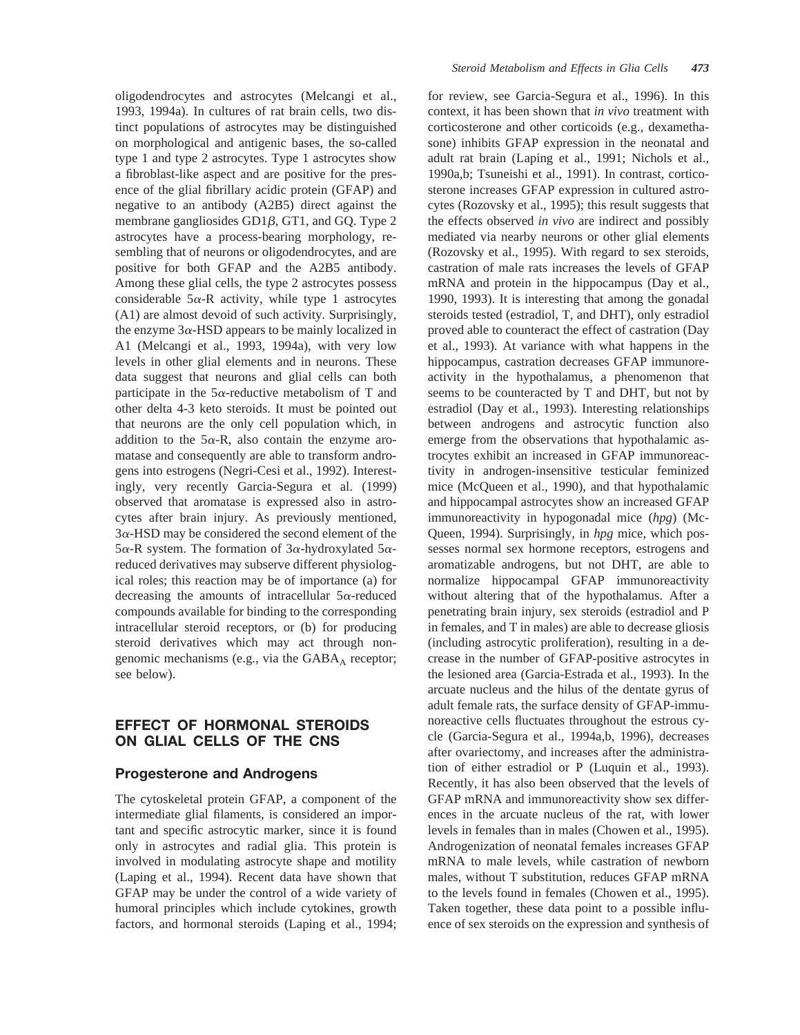oligodendrocytes and astrocytes (Melcangi et al., 1993, 1994a). In cultures of rat brain cells, two distinct populations of astrocytes may be distinguished on morphological and antigenic bases, the so-called type 1 and type 2 astrocytes. Type 1 astrocytes show a fibroblast-like aspect and are positive for the presence of the glial fibrillary acidic protein (GFAP) and negative to an antibody (A2B5) direct against the membrane gangliosides  $GD1\beta$ ,  $GT1$ , and  $GQ$ . Type 2 astrocytes have a process-bearing morphology, resembling that of neurons or oligodendrocytes, and are positive for both GFAP and the A2B5 antibody. Among these glial cells, the type 2 astrocytes possess considerable  $5\alpha$ -R activity, while type 1 astrocytes (A1) are almost devoid of such activity. Surprisingly, the enzyme  $3\alpha$ -HSD appears to be mainly localized in A1 (Melcangi et al., 1993, 1994a), with very low levels in other glial elements and in neurons. These data suggest that neurons and glial cells can both participate in the  $5\alpha$ -reductive metabolism of T and other delta 4-3 keto steroids. It must be pointed out that neurons are the only cell population which, in addition to the  $5\alpha$ -R, also contain the enzyme aromatase and consequently are able to transform androgens into estrogens (Negri-Cesi et al., 1992). Interestingly, very recently Garcia-Segura et al. (1999) observed that aromatase is expressed also in astrocytes after brain injury. As previously mentioned,  $3\alpha$ -HSD may be considered the second element of the  $5\alpha$ -R system. The formation of  $3\alpha$ -hydroxylated  $5\alpha$ reduced derivatives may subserve different physiological roles; this reaction may be of importance (a) for decreasing the amounts of intracellular  $5\alpha$ -reduced compounds available for binding to the corresponding intracellular steroid receptors, or (b) for producing steroid derivatives which may act through nongenomic mechanisms (e.g., via the  $GABA_A$  receptor; see below).

# **EFFECT OF HORMONAL STEROIDS ON GLIAL CELLS OF THE CNS**

#### **Progesterone and Androgens**

The cytoskeletal protein GFAP, a component of the intermediate glial filaments, is considered an important and specific astrocytic marker, since it is found only in astrocytes and radial glia. This protein is involved in modulating astrocyte shape and motility (Laping et al., 1994). Recent data have shown that GFAP may be under the control of a wide variety of humoral principles which include cytokines, growth factors, and hormonal steroids (Laping et al., 1994; for review, see Garcia-Segura et al., 1996). In this context, it has been shown that *in vivo* treatment with corticosterone and other corticoids (e.g., dexamethasone) inhibits GFAP expression in the neonatal and adult rat brain (Laping et al., 1991; Nichols et al., 1990a,b; Tsuneishi et al., 1991). In contrast, corticosterone increases GFAP expression in cultured astrocytes (Rozovsky et al., 1995); this result suggests that the effects observed *in vivo* are indirect and possibly mediated via nearby neurons or other glial elements (Rozovsky et al., 1995). With regard to sex steroids, castration of male rats increases the levels of GFAP mRNA and protein in the hippocampus (Day et al., 1990, 1993). It is interesting that among the gonadal steroids tested (estradiol, T, and DHT), only estradiol proved able to counteract the effect of castration (Day et al., 1993). At variance with what happens in the hippocampus, castration decreases GFAP immunoreactivity in the hypothalamus, a phenomenon that seems to be counteracted by T and DHT, but not by estradiol (Day et al., 1993). Interesting relationships between androgens and astrocytic function also emerge from the observations that hypothalamic astrocytes exhibit an increased in GFAP immunoreactivity in androgen-insensitive testicular feminized mice (McQueen et al., 1990), and that hypothalamic and hippocampal astrocytes show an increased GFAP immunoreactivity in hypogonadal mice (*hpg*) (Mc-Queen, 1994). Surprisingly, in *hpg* mice, which possesses normal sex hormone receptors, estrogens and aromatizable androgens, but not DHT, are able to normalize hippocampal GFAP immunoreactivity without altering that of the hypothalamus. After a penetrating brain injury, sex steroids (estradiol and P in females, and T in males) are able to decrease gliosis (including astrocytic proliferation), resulting in a decrease in the number of GFAP-positive astrocytes in the lesioned area (Garcia-Estrada et al., 1993). In the arcuate nucleus and the hilus of the dentate gyrus of adult female rats, the surface density of GFAP-immunoreactive cells fluctuates throughout the estrous cycle (Garcia-Segura et al., 1994a,b, 1996), decreases after ovariectomy, and increases after the administration of either estradiol or P (Luquin et al., 1993). Recently, it has also been observed that the levels of GFAP mRNA and immunoreactivity show sex differences in the arcuate nucleus of the rat, with lower levels in females than in males (Chowen et al., 1995). Androgenization of neonatal females increases GFAP mRNA to male levels, while castration of newborn males, without T substitution, reduces GFAP mRNA to the levels found in females (Chowen et al., 1995). Taken together, these data point to a possible influence of sex steroids on the expression and synthesis of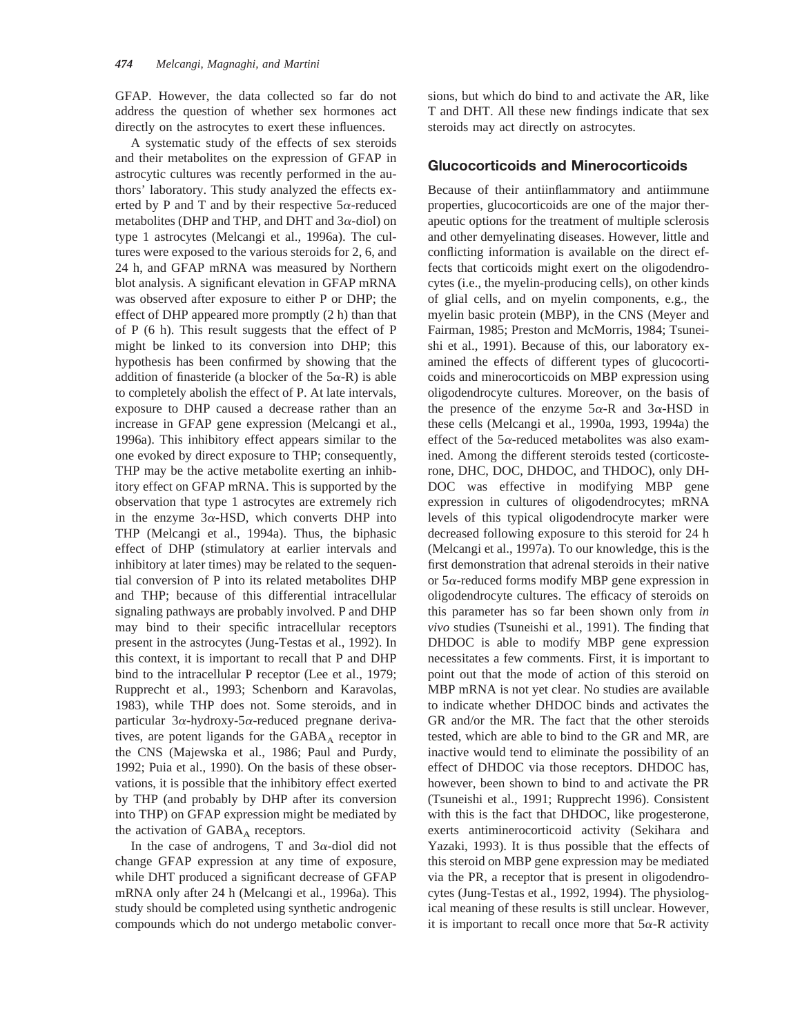GFAP. However, the data collected so far do not address the question of whether sex hormones act directly on the astrocytes to exert these influences.

A systematic study of the effects of sex steroids and their metabolites on the expression of GFAP in astrocytic cultures was recently performed in the authors' laboratory. This study analyzed the effects exerted by P and T and by their respective  $5\alpha$ -reduced metabolites (DHP and THP, and DHT and  $3\alpha$ -diol) on type 1 astrocytes (Melcangi et al., 1996a). The cultures were exposed to the various steroids for 2, 6, and 24 h, and GFAP mRNA was measured by Northern blot analysis. A significant elevation in GFAP mRNA was observed after exposure to either P or DHP; the effect of DHP appeared more promptly (2 h) than that of P (6 h). This result suggests that the effect of P might be linked to its conversion into DHP; this hypothesis has been confirmed by showing that the addition of finasteride (a blocker of the  $5\alpha$ -R) is able to completely abolish the effect of P. At late intervals, exposure to DHP caused a decrease rather than an increase in GFAP gene expression (Melcangi et al., 1996a). This inhibitory effect appears similar to the one evoked by direct exposure to THP; consequently, THP may be the active metabolite exerting an inhibitory effect on GFAP mRNA. This is supported by the observation that type 1 astrocytes are extremely rich in the enzyme  $3\alpha$ -HSD, which converts DHP into THP (Melcangi et al., 1994a). Thus, the biphasic effect of DHP (stimulatory at earlier intervals and inhibitory at later times) may be related to the sequential conversion of P into its related metabolites DHP and THP; because of this differential intracellular signaling pathways are probably involved. P and DHP may bind to their specific intracellular receptors present in the astrocytes (Jung-Testas et al., 1992). In this context, it is important to recall that P and DHP bind to the intracellular P receptor (Lee et al., 1979; Rupprecht et al., 1993; Schenborn and Karavolas, 1983), while THP does not. Some steroids, and in particular  $3\alpha$ -hydroxy- $5\alpha$ -reduced pregnane derivatives, are potent ligands for the  $GABA_A$  receptor in the CNS (Majewska et al., 1986; Paul and Purdy, 1992; Puia et al., 1990). On the basis of these observations, it is possible that the inhibitory effect exerted by THP (and probably by DHP after its conversion into THP) on GFAP expression might be mediated by the activation of  $GABA_A$  receptors.

In the case of androgens, T and  $3\alpha$ -diol did not change GFAP expression at any time of exposure, while DHT produced a significant decrease of GFAP mRNA only after 24 h (Melcangi et al., 1996a). This study should be completed using synthetic androgenic compounds which do not undergo metabolic conversions, but which do bind to and activate the AR, like T and DHT. All these new findings indicate that sex steroids may act directly on astrocytes.

## **Glucocorticoids and Minerocorticoids**

Because of their antiinflammatory and antiimmune properties, glucocorticoids are one of the major therapeutic options for the treatment of multiple sclerosis and other demyelinating diseases. However, little and conflicting information is available on the direct effects that corticoids might exert on the oligodendrocytes (i.e., the myelin-producing cells), on other kinds of glial cells, and on myelin components, e.g., the myelin basic protein (MBP), in the CNS (Meyer and Fairman, 1985; Preston and McMorris, 1984; Tsuneishi et al., 1991). Because of this, our laboratory examined the effects of different types of glucocorticoids and minerocorticoids on MBP expression using oligodendrocyte cultures. Moreover, on the basis of the presence of the enzyme  $5\alpha$ -R and  $3\alpha$ -HSD in these cells (Melcangi et al., 1990a, 1993, 1994a) the effect of the  $5\alpha$ -reduced metabolites was also examined. Among the different steroids tested (corticosterone, DHC, DOC, DHDOC, and THDOC), only DH-DOC was effective in modifying MBP gene expression in cultures of oligodendrocytes; mRNA levels of this typical oligodendrocyte marker were decreased following exposure to this steroid for 24 h (Melcangi et al., 1997a). To our knowledge, this is the first demonstration that adrenal steroids in their native or  $5\alpha$ -reduced forms modify MBP gene expression in oligodendrocyte cultures. The efficacy of steroids on this parameter has so far been shown only from *in vivo* studies (Tsuneishi et al., 1991). The finding that DHDOC is able to modify MBP gene expression necessitates a few comments. First, it is important to point out that the mode of action of this steroid on MBP mRNA is not yet clear. No studies are available to indicate whether DHDOC binds and activates the GR and/or the MR. The fact that the other steroids tested, which are able to bind to the GR and MR, are inactive would tend to eliminate the possibility of an effect of DHDOC via those receptors. DHDOC has, however, been shown to bind to and activate the PR (Tsuneishi et al., 1991; Rupprecht 1996). Consistent with this is the fact that DHDOC, like progesterone, exerts antiminerocorticoid activity (Sekihara and Yazaki, 1993). It is thus possible that the effects of this steroid on MBP gene expression may be mediated via the PR, a receptor that is present in oligodendrocytes (Jung-Testas et al., 1992, 1994). The physiological meaning of these results is still unclear. However, it is important to recall once more that  $5\alpha$ -R activity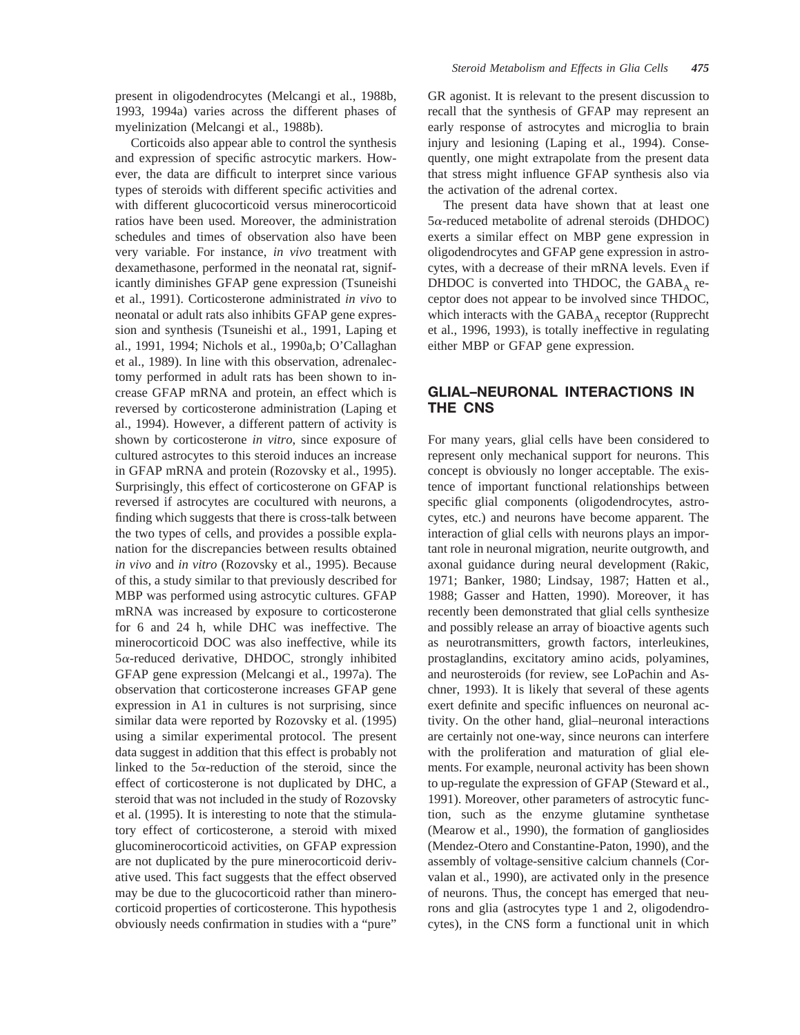Corticoids also appear able to control the synthesis and expression of specific astrocytic markers. However, the data are difficult to interpret since various types of steroids with different specific activities and with different glucocorticoid versus minerocorticoid ratios have been used. Moreover, the administration schedules and times of observation also have been very variable. For instance, *in vivo* treatment with dexamethasone, performed in the neonatal rat, significantly diminishes GFAP gene expression (Tsuneishi et al., 1991). Corticosterone administrated *in vivo* to neonatal or adult rats also inhibits GFAP gene expression and synthesis (Tsuneishi et al., 1991, Laping et al., 1991, 1994; Nichols et al., 1990a,b; O'Callaghan et al., 1989). In line with this observation, adrenalectomy performed in adult rats has been shown to increase GFAP mRNA and protein, an effect which is reversed by corticosterone administration (Laping et al., 1994). However, a different pattern of activity is shown by corticosterone *in vitro*, since exposure of cultured astrocytes to this steroid induces an increase in GFAP mRNA and protein (Rozovsky et al., 1995). Surprisingly, this effect of corticosterone on GFAP is reversed if astrocytes are cocultured with neurons, a finding which suggests that there is cross-talk between the two types of cells, and provides a possible explanation for the discrepancies between results obtained *in vivo* and *in vitro* (Rozovsky et al., 1995). Because of this, a study similar to that previously described for MBP was performed using astrocytic cultures. GFAP mRNA was increased by exposure to corticosterone for 6 and 24 h, while DHC was ineffective. The minerocorticoid DOC was also ineffective, while its  $5\alpha$ -reduced derivative, DHDOC, strongly inhibited GFAP gene expression (Melcangi et al., 1997a). The observation that corticosterone increases GFAP gene expression in A1 in cultures is not surprising, since similar data were reported by Rozovsky et al. (1995) using a similar experimental protocol. The present data suggest in addition that this effect is probably not linked to the  $5\alpha$ -reduction of the steroid, since the effect of corticosterone is not duplicated by DHC, a steroid that was not included in the study of Rozovsky et al. (1995). It is interesting to note that the stimulatory effect of corticosterone, a steroid with mixed glucominerocorticoid activities, on GFAP expression are not duplicated by the pure minerocorticoid derivative used. This fact suggests that the effect observed may be due to the glucocorticoid rather than minerocorticoid properties of corticosterone. This hypothesis obviously needs confirmation in studies with a "pure"

myelinization (Melcangi et al., 1988b).

GR agonist. It is relevant to the present discussion to recall that the synthesis of GFAP may represent an early response of astrocytes and microglia to brain injury and lesioning (Laping et al., 1994). Consequently, one might extrapolate from the present data that stress might influence GFAP synthesis also via the activation of the adrenal cortex.

The present data have shown that at least one  $5\alpha$ -reduced metabolite of adrenal steroids (DHDOC) exerts a similar effect on MBP gene expression in oligodendrocytes and GFAP gene expression in astrocytes, with a decrease of their mRNA levels. Even if DHDOC is converted into THDOC, the  $GABA_A$  receptor does not appear to be involved since THDOC, which interacts with the  $GABA_A$  receptor (Rupprecht et al., 1996, 1993), is totally ineffective in regulating either MBP or GFAP gene expression.

# **GLIAL–NEURONAL INTERACTIONS IN THE CNS**

For many years, glial cells have been considered to represent only mechanical support for neurons. This concept is obviously no longer acceptable. The existence of important functional relationships between specific glial components (oligodendrocytes, astrocytes, etc.) and neurons have become apparent. The interaction of glial cells with neurons plays an important role in neuronal migration, neurite outgrowth, and axonal guidance during neural development (Rakic, 1971; Banker, 1980; Lindsay, 1987; Hatten et al., 1988; Gasser and Hatten, 1990). Moreover, it has recently been demonstrated that glial cells synthesize and possibly release an array of bioactive agents such as neurotransmitters, growth factors, interleukines, prostaglandins, excitatory amino acids, polyamines, and neurosteroids (for review, see LoPachin and Aschner, 1993). It is likely that several of these agents exert definite and specific influences on neuronal activity. On the other hand, glial–neuronal interactions are certainly not one-way, since neurons can interfere with the proliferation and maturation of glial elements. For example, neuronal activity has been shown to up-regulate the expression of GFAP (Steward et al., 1991). Moreover, other parameters of astrocytic function, such as the enzyme glutamine synthetase (Mearow et al., 1990), the formation of gangliosides (Mendez-Otero and Constantine-Paton, 1990), and the assembly of voltage-sensitive calcium channels (Corvalan et al., 1990), are activated only in the presence of neurons. Thus, the concept has emerged that neurons and glia (astrocytes type 1 and 2, oligodendrocytes), in the CNS form a functional unit in which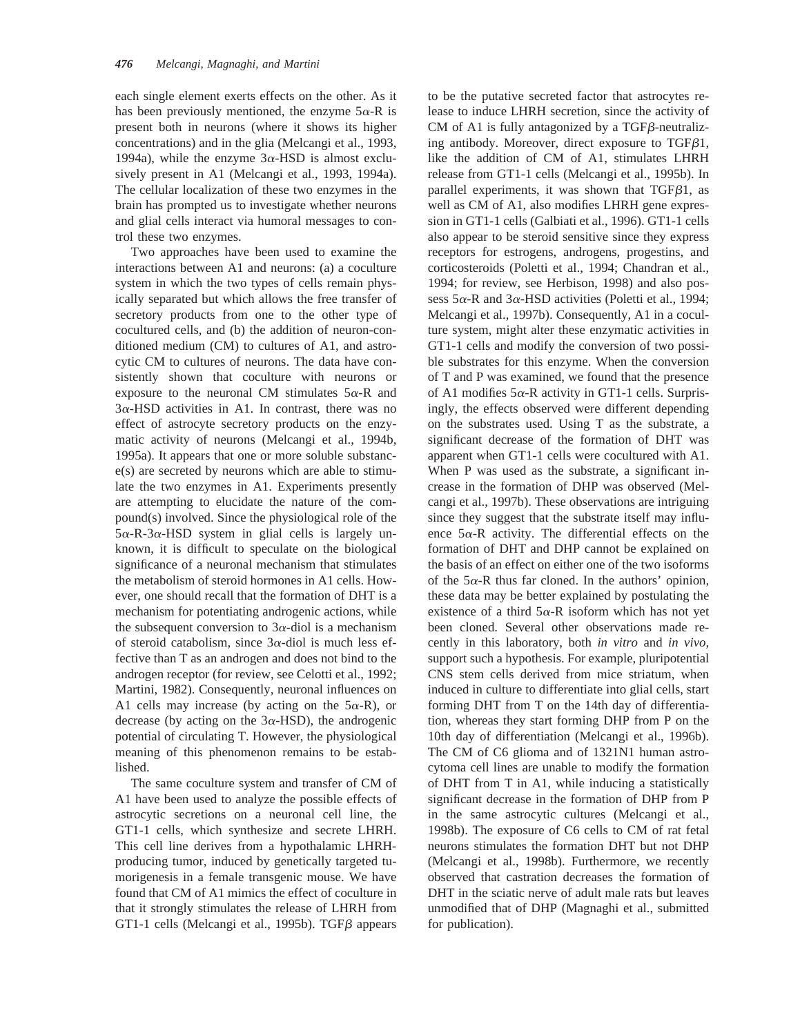each single element exerts effects on the other. As it has been previously mentioned, the enzyme  $5\alpha$ -R is present both in neurons (where it shows its higher concentrations) and in the glia (Melcangi et al., 1993, 1994a), while the enzyme  $3\alpha$ -HSD is almost exclusively present in A1 (Melcangi et al., 1993, 1994a). The cellular localization of these two enzymes in the brain has prompted us to investigate whether neurons and glial cells interact via humoral messages to control these two enzymes.

Two approaches have been used to examine the interactions between A1 and neurons: (a) a coculture system in which the two types of cells remain physically separated but which allows the free transfer of secretory products from one to the other type of cocultured cells, and (b) the addition of neuron-conditioned medium (CM) to cultures of A1, and astrocytic CM to cultures of neurons. The data have consistently shown that coculture with neurons or exposure to the neuronal CM stimulates  $5\alpha$ -R and  $3\alpha$ -HSD activities in A1. In contrast, there was no effect of astrocyte secretory products on the enzymatic activity of neurons (Melcangi et al., 1994b, 1995a). It appears that one or more soluble substance(s) are secreted by neurons which are able to stimulate the two enzymes in A1. Experiments presently are attempting to elucidate the nature of the compound(s) involved. Since the physiological role of the  $5\alpha$ -R-3 $\alpha$ -HSD system in glial cells is largely unknown, it is difficult to speculate on the biological significance of a neuronal mechanism that stimulates the metabolism of steroid hormones in A1 cells. However, one should recall that the formation of DHT is a mechanism for potentiating androgenic actions, while the subsequent conversion to  $3\alpha$ -diol is a mechanism of steroid catabolism, since  $3\alpha$ -diol is much less effective than T as an androgen and does not bind to the androgen receptor (for review, see Celotti et al., 1992; Martini, 1982). Consequently, neuronal influences on A1 cells may increase (by acting on the  $5\alpha$ -R), or decrease (by acting on the  $3\alpha$ -HSD), the androgenic potential of circulating T. However, the physiological meaning of this phenomenon remains to be established.

The same coculture system and transfer of CM of A1 have been used to analyze the possible effects of astrocytic secretions on a neuronal cell line, the GT1-1 cells, which synthesize and secrete LHRH. This cell line derives from a hypothalamic LHRHproducing tumor, induced by genetically targeted tumorigenesis in a female transgenic mouse. We have found that CM of A1 mimics the effect of coculture in that it strongly stimulates the release of LHRH from GT1-1 cells (Melcangi et al., 1995b). TGF $\beta$  appears

to be the putative secreted factor that astrocytes release to induce LHRH secretion, since the activity of CM of A1 is fully antagonized by a TGF $\beta$ -neutralizing antibody. Moreover, direct exposure to  $TGF \beta1$ , like the addition of CM of A1, stimulates LHRH release from GT1-1 cells (Melcangi et al., 1995b). In parallel experiments, it was shown that TGF $\beta$ 1, as well as CM of A1, also modifies LHRH gene expression in GT1-1 cells (Galbiati et al., 1996). GT1-1 cells also appear to be steroid sensitive since they express receptors for estrogens, androgens, progestins, and corticosteroids (Poletti et al., 1994; Chandran et al., 1994; for review, see Herbison, 1998) and also possess  $5\alpha$ -R and  $3\alpha$ -HSD activities (Poletti et al., 1994; Melcangi et al., 1997b). Consequently, A1 in a coculture system, might alter these enzymatic activities in GT1-1 cells and modify the conversion of two possible substrates for this enzyme. When the conversion of T and P was examined, we found that the presence of A1 modifies  $5\alpha$ -R activity in GT1-1 cells. Surprisingly, the effects observed were different depending on the substrates used. Using T as the substrate, a significant decrease of the formation of DHT was apparent when GT1-1 cells were cocultured with A1. When P was used as the substrate, a significant increase in the formation of DHP was observed (Melcangi et al., 1997b). These observations are intriguing since they suggest that the substrate itself may influence  $5\alpha$ -R activity. The differential effects on the formation of DHT and DHP cannot be explained on the basis of an effect on either one of the two isoforms of the  $5\alpha$ -R thus far cloned. In the authors' opinion, these data may be better explained by postulating the existence of a third  $5\alpha$ -R isoform which has not yet been cloned. Several other observations made recently in this laboratory, both *in vitro* and *in vivo*, support such a hypothesis. For example, pluripotential CNS stem cells derived from mice striatum, when induced in culture to differentiate into glial cells, start forming DHT from T on the 14th day of differentiation, whereas they start forming DHP from P on the 10th day of differentiation (Melcangi et al., 1996b). The CM of C6 glioma and of 1321N1 human astrocytoma cell lines are unable to modify the formation of DHT from T in A1, while inducing a statistically significant decrease in the formation of DHP from P in the same astrocytic cultures (Melcangi et al., 1998b). The exposure of C6 cells to CM of rat fetal neurons stimulates the formation DHT but not DHP (Melcangi et al., 1998b). Furthermore, we recently observed that castration decreases the formation of DHT in the sciatic nerve of adult male rats but leaves unmodified that of DHP (Magnaghi et al., submitted for publication).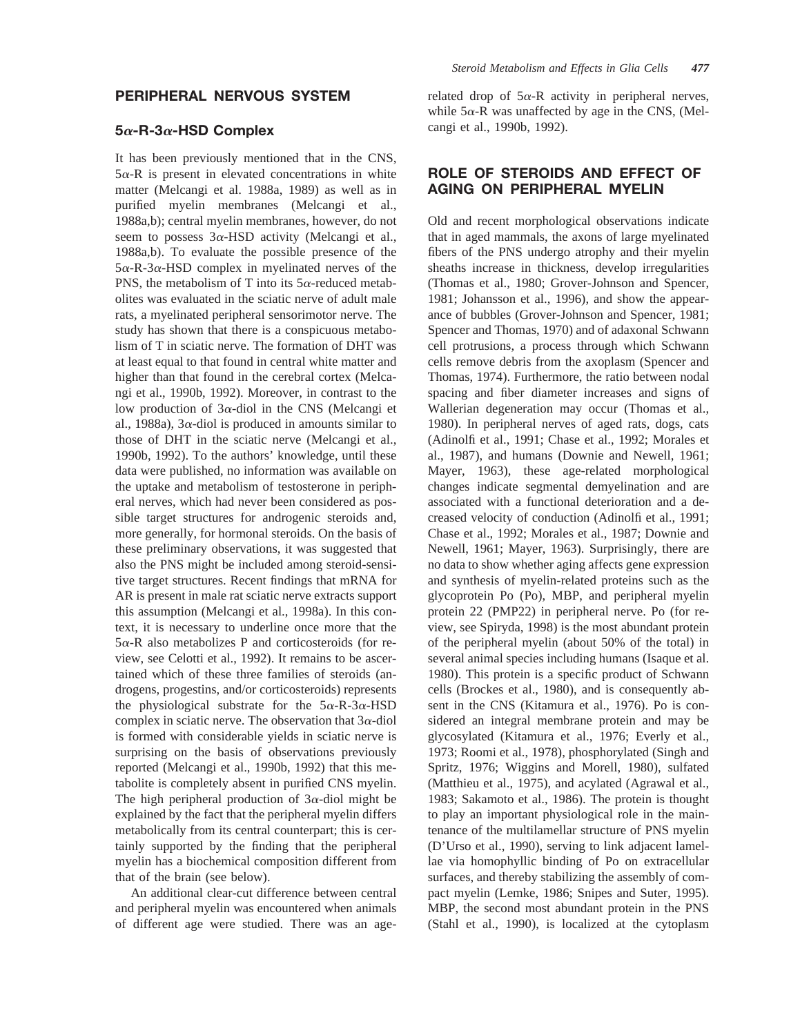## **PERIPHERAL NERVOUS SYSTEM**

#### **5**a**-R-3**a**-HSD Complex**

It has been previously mentioned that in the CNS,  $5\alpha$ -R is present in elevated concentrations in white matter (Melcangi et al. 1988a, 1989) as well as in purified myelin membranes (Melcangi et al., 1988a,b); central myelin membranes, however, do not seem to possess  $3\alpha$ -HSD activity (Melcangi et al., 1988a,b). To evaluate the possible presence of the  $5\alpha$ -R-3 $\alpha$ -HSD complex in myelinated nerves of the PNS, the metabolism of T into its  $5\alpha$ -reduced metabolites was evaluated in the sciatic nerve of adult male rats, a myelinated peripheral sensorimotor nerve. The study has shown that there is a conspicuous metabolism of T in sciatic nerve. The formation of DHT was at least equal to that found in central white matter and higher than that found in the cerebral cortex (Melcangi et al., 1990b, 1992). Moreover, in contrast to the low production of  $3\alpha$ -diol in the CNS (Melcangi et al., 1988a), 3 $\alpha$ -diol is produced in amounts similar to those of DHT in the sciatic nerve (Melcangi et al., 1990b, 1992). To the authors' knowledge, until these data were published, no information was available on the uptake and metabolism of testosterone in peripheral nerves, which had never been considered as possible target structures for androgenic steroids and, more generally, for hormonal steroids. On the basis of these preliminary observations, it was suggested that also the PNS might be included among steroid-sensitive target structures. Recent findings that mRNA for AR is present in male rat sciatic nerve extracts support this assumption (Melcangi et al., 1998a). In this context, it is necessary to underline once more that the  $5\alpha$ -R also metabolizes P and corticosteroids (for review, see Celotti et al., 1992). It remains to be ascertained which of these three families of steroids (androgens, progestins, and/or corticosteroids) represents the physiological substrate for the  $5\alpha$ -R-3 $\alpha$ -HSD complex in sciatic nerve. The observation that  $3\alpha$ -diol is formed with considerable yields in sciatic nerve is surprising on the basis of observations previously reported (Melcangi et al., 1990b, 1992) that this metabolite is completely absent in purified CNS myelin. The high peripheral production of  $3\alpha$ -diol might be explained by the fact that the peripheral myelin differs metabolically from its central counterpart; this is certainly supported by the finding that the peripheral myelin has a biochemical composition different from that of the brain (see below).

An additional clear-cut difference between central and peripheral myelin was encountered when animals of different age were studied. There was an agerelated drop of  $5\alpha$ -R activity in peripheral nerves, while  $5\alpha$ -R was unaffected by age in the CNS, (Melcangi et al., 1990b, 1992).

# **ROLE OF STEROIDS AND EFFECT OF AGING ON PERIPHERAL MYELIN**

Old and recent morphological observations indicate that in aged mammals, the axons of large myelinated fibers of the PNS undergo atrophy and their myelin sheaths increase in thickness, develop irregularities (Thomas et al., 1980; Grover-Johnson and Spencer, 1981; Johansson et al., 1996), and show the appearance of bubbles (Grover-Johnson and Spencer, 1981; Spencer and Thomas, 1970) and of adaxonal Schwann cell protrusions, a process through which Schwann cells remove debris from the axoplasm (Spencer and Thomas, 1974). Furthermore, the ratio between nodal spacing and fiber diameter increases and signs of Wallerian degeneration may occur (Thomas et al., 1980). In peripheral nerves of aged rats, dogs, cats (Adinolfi et al., 1991; Chase et al., 1992; Morales et al., 1987), and humans (Downie and Newell, 1961; Mayer, 1963), these age-related morphological changes indicate segmental demyelination and are associated with a functional deterioration and a decreased velocity of conduction (Adinolfi et al., 1991; Chase et al., 1992; Morales et al., 1987; Downie and Newell, 1961; Mayer, 1963). Surprisingly, there are no data to show whether aging affects gene expression and synthesis of myelin-related proteins such as the glycoprotein Po (Po), MBP, and peripheral myelin protein 22 (PMP22) in peripheral nerve. Po (for review, see Spiryda, 1998) is the most abundant protein of the peripheral myelin (about 50% of the total) in several animal species including humans (Isaque et al. 1980). This protein is a specific product of Schwann cells (Brockes et al., 1980), and is consequently absent in the CNS (Kitamura et al., 1976). Po is considered an integral membrane protein and may be glycosylated (Kitamura et al., 1976; Everly et al., 1973; Roomi et al., 1978), phosphorylated (Singh and Spritz, 1976; Wiggins and Morell, 1980), sulfated (Matthieu et al., 1975), and acylated (Agrawal et al., 1983; Sakamoto et al., 1986). The protein is thought to play an important physiological role in the maintenance of the multilamellar structure of PNS myelin (D'Urso et al., 1990), serving to link adjacent lamellae via homophyllic binding of Po on extracellular surfaces, and thereby stabilizing the assembly of compact myelin (Lemke, 1986; Snipes and Suter, 1995). MBP, the second most abundant protein in the PNS (Stahl et al., 1990), is localized at the cytoplasm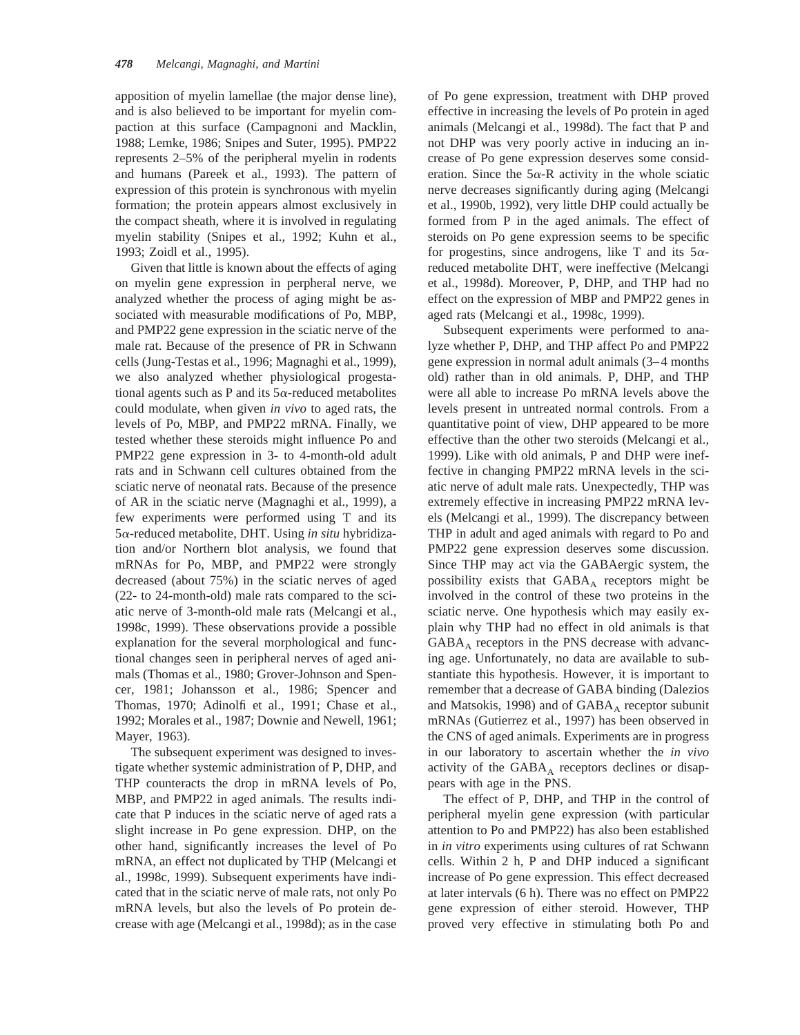apposition of myelin lamellae (the major dense line), and is also believed to be important for myelin compaction at this surface (Campagnoni and Macklin, 1988; Lemke, 1986; Snipes and Suter, 1995). PMP22 represents 2–5% of the peripheral myelin in rodents and humans (Pareek et al., 1993). The pattern of expression of this protein is synchronous with myelin formation; the protein appears almost exclusively in the compact sheath, where it is involved in regulating myelin stability (Snipes et al., 1992; Kuhn et al., 1993; Zoidl et al., 1995).

Given that little is known about the effects of aging on myelin gene expression in perpheral nerve, we analyzed whether the process of aging might be associated with measurable modifications of Po, MBP, and PMP22 gene expression in the sciatic nerve of the male rat. Because of the presence of PR in Schwann cells (Jung-Testas et al., 1996; Magnaghi et al., 1999), we also analyzed whether physiological progestational agents such as P and its  $5\alpha$ -reduced metabolites could modulate, when given *in vivo* to aged rats, the levels of Po, MBP, and PMP22 mRNA. Finally, we tested whether these steroids might influence Po and PMP22 gene expression in 3- to 4-month-old adult rats and in Schwann cell cultures obtained from the sciatic nerve of neonatal rats. Because of the presence of AR in the sciatic nerve (Magnaghi et al., 1999), a few experiments were performed using T and its 5a-reduced metabolite, DHT. Using *in situ* hybridization and/or Northern blot analysis, we found that mRNAs for Po, MBP, and PMP22 were strongly decreased (about 75%) in the sciatic nerves of aged (22- to 24-month-old) male rats compared to the sciatic nerve of 3-month-old male rats (Melcangi et al., 1998c, 1999). These observations provide a possible explanation for the several morphological and functional changes seen in peripheral nerves of aged animals (Thomas et al., 1980; Grover-Johnson and Spencer, 1981; Johansson et al., 1986; Spencer and Thomas, 1970; Adinolfi et al., 1991; Chase et al., 1992; Morales et al., 1987; Downie and Newell, 1961; Mayer, 1963).

The subsequent experiment was designed to investigate whether systemic administration of P, DHP, and THP counteracts the drop in mRNA levels of Po, MBP, and PMP22 in aged animals. The results indicate that P induces in the sciatic nerve of aged rats a slight increase in Po gene expression. DHP, on the other hand, significantly increases the level of Po mRNA, an effect not duplicated by THP (Melcangi et al., 1998c, 1999). Subsequent experiments have indicated that in the sciatic nerve of male rats, not only Po mRNA levels, but also the levels of Po protein decrease with age (Melcangi et al., 1998d); as in the case

of Po gene expression, treatment with DHP proved effective in increasing the levels of Po protein in aged animals (Melcangi et al., 1998d). The fact that P and not DHP was very poorly active in inducing an increase of Po gene expression deserves some consideration. Since the  $5\alpha$ -R activity in the whole sciatic nerve decreases significantly during aging (Melcangi et al., 1990b, 1992), very little DHP could actually be formed from P in the aged animals. The effect of steroids on Po gene expression seems to be specific for progestins, since androgens, like T and its  $5\alpha$ reduced metabolite DHT, were ineffective (Melcangi et al., 1998d). Moreover, P, DHP, and THP had no effect on the expression of MBP and PMP22 genes in aged rats (Melcangi et al., 1998c, 1999).

Subsequent experiments were performed to analyze whether P, DHP, and THP affect Po and PMP22 gene expression in normal adult animals (3–4 months old) rather than in old animals. P, DHP, and THP were all able to increase Po mRNA levels above the levels present in untreated normal controls. From a quantitative point of view, DHP appeared to be more effective than the other two steroids (Melcangi et al., 1999). Like with old animals, P and DHP were ineffective in changing PMP22 mRNA levels in the sciatic nerve of adult male rats. Unexpectedly, THP was extremely effective in increasing PMP22 mRNA levels (Melcangi et al., 1999). The discrepancy between THP in adult and aged animals with regard to Po and PMP22 gene expression deserves some discussion. Since THP may act via the GABAergic system, the possibility exists that  $GABA_A$  receptors might be involved in the control of these two proteins in the sciatic nerve. One hypothesis which may easily explain why THP had no effect in old animals is that  $GABA_A$  receptors in the PNS decrease with advancing age. Unfortunately, no data are available to substantiate this hypothesis. However, it is important to remember that a decrease of GABA binding (Dalezios and Matsokis, 1998) and of  $GABA_A$  receptor subunit mRNAs (Gutierrez et al., 1997) has been observed in the CNS of aged animals. Experiments are in progress in our laboratory to ascertain whether the *in vivo* activity of the  $GABA_A$  receptors declines or disappears with age in the PNS.

The effect of P, DHP, and THP in the control of peripheral myelin gene expression (with particular attention to Po and PMP22) has also been established in *in vitro* experiments using cultures of rat Schwann cells. Within 2 h, P and DHP induced a significant increase of Po gene expression. This effect decreased at later intervals (6 h). There was no effect on PMP22 gene expression of either steroid. However, THP proved very effective in stimulating both Po and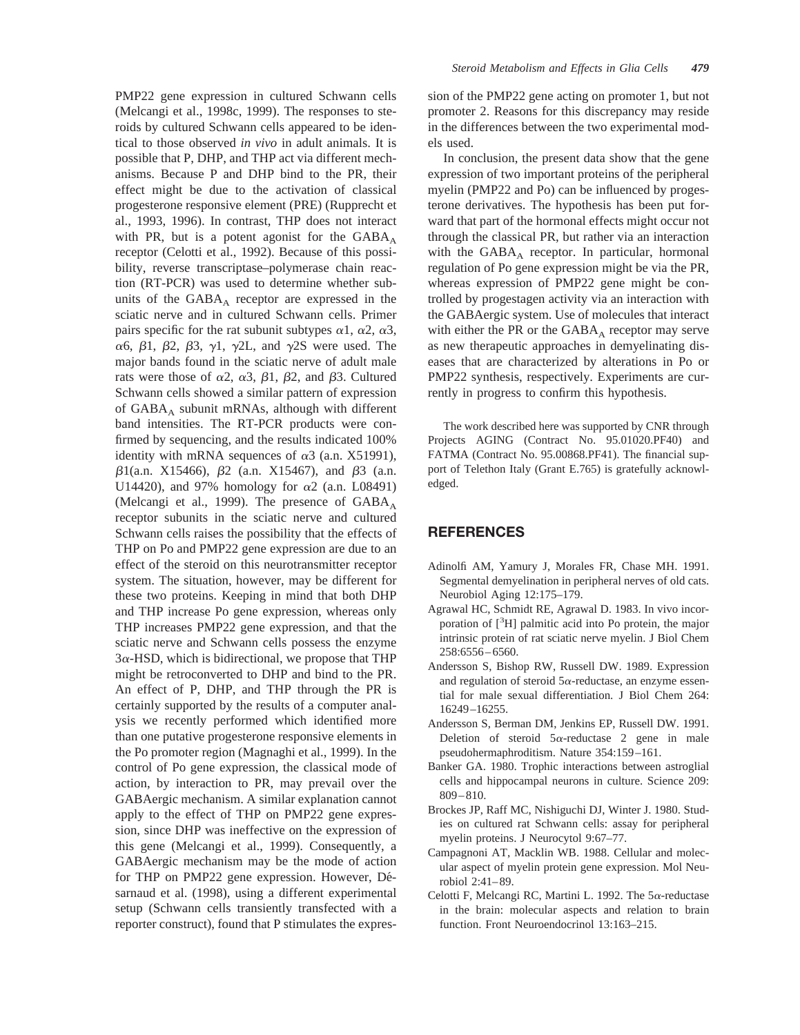PMP22 gene expression in cultured Schwann cells (Melcangi et al., 1998c, 1999). The responses to steroids by cultured Schwann cells appeared to be identical to those observed *in vivo* in adult animals. It is possible that P, DHP, and THP act via different mechanisms. Because P and DHP bind to the PR, their effect might be due to the activation of classical progesterone responsive element (PRE) (Rupprecht et al., 1993, 1996). In contrast, THP does not interact with PR, but is a potent agonist for the  $GABA_A$ receptor (Celotti et al., 1992). Because of this possibility, reverse transcriptase–polymerase chain reaction (RT-PCR) was used to determine whether subunits of the  $GABA_A$  receptor are expressed in the sciatic nerve and in cultured Schwann cells. Primer pairs specific for the rat subunit subtypes  $\alpha$ 1,  $\alpha$ 2,  $\alpha$ 3,  $\alpha$ 6,  $\beta$ 1,  $\beta$ 2,  $\beta$ 3,  $\gamma$ 1,  $\gamma$ 2L, and  $\gamma$ 2S were used. The major bands found in the sciatic nerve of adult male rats were those of  $\alpha$ 2,  $\alpha$ 3,  $\beta$ 1,  $\beta$ 2, and  $\beta$ 3. Cultured Schwann cells showed a similar pattern of expression of  $GABA_A$  subunit mRNAs, although with different band intensities. The RT-PCR products were confirmed by sequencing, and the results indicated 100% identity with mRNA sequences of  $\alpha$ 3 (a.n. X51991),  $\beta$ 1(a.n. X15466),  $\beta$ 2 (a.n. X15467), and  $\beta$ 3 (a.n. U14420), and 97% homology for  $\alpha$ 2 (a.n. L08491) (Melcangi et al., 1999). The presence of  $GABA_A$ receptor subunits in the sciatic nerve and cultured Schwann cells raises the possibility that the effects of THP on Po and PMP22 gene expression are due to an effect of the steroid on this neurotransmitter receptor system. The situation, however, may be different for these two proteins. Keeping in mind that both DHP and THP increase Po gene expression, whereas only THP increases PMP22 gene expression, and that the sciatic nerve and Schwann cells possess the enzyme  $3\alpha$ -HSD, which is bidirectional, we propose that THP might be retroconverted to DHP and bind to the PR. An effect of P, DHP, and THP through the PR is certainly supported by the results of a computer analysis we recently performed which identified more than one putative progesterone responsive elements in the Po promoter region (Magnaghi et al., 1999). In the control of Po gene expression, the classical mode of action, by interaction to PR, may prevail over the GABAergic mechanism. A similar explanation cannot apply to the effect of THP on PMP22 gene expression, since DHP was ineffective on the expression of this gene (Melcangi et al., 1999). Consequently, a GABAergic mechanism may be the mode of action for THP on PMP22 gene expression. However, Désarnaud et al. (1998), using a different experimental setup (Schwann cells transiently transfected with a reporter construct), found that P stimulates the expression of the PMP22 gene acting on promoter 1, but not promoter 2. Reasons for this discrepancy may reside in the differences between the two experimental models used.

In conclusion, the present data show that the gene expression of two important proteins of the peripheral myelin (PMP22 and Po) can be influenced by progesterone derivatives. The hypothesis has been put forward that part of the hormonal effects might occur not through the classical PR, but rather via an interaction with the  $GABA_A$  receptor. In particular, hormonal regulation of Po gene expression might be via the PR, whereas expression of PMP22 gene might be controlled by progestagen activity via an interaction with the GABAergic system. Use of molecules that interact with either the PR or the  $GABA_A$  receptor may serve as new therapeutic approaches in demyelinating diseases that are characterized by alterations in Po or PMP22 synthesis, respectively. Experiments are currently in progress to confirm this hypothesis.

The work described here was supported by CNR through Projects AGING (Contract No. 95.01020.PF40) and FATMA (Contract No. 95.00868.PF41). The financial support of Telethon Italy (Grant E.765) is gratefully acknowledged.

## **REFERENCES**

- Adinolfi AM, Yamury J, Morales FR, Chase MH. 1991. Segmental demyelination in peripheral nerves of old cats. Neurobiol Aging 12:175–179.
- Agrawal HC, Schmidt RE, Agrawal D. 1983. In vivo incorporation of [<sup>3</sup>H] palmitic acid into Po protein, the major intrinsic protein of rat sciatic nerve myelin. J Biol Chem 258:6556–6560.
- Andersson S, Bishop RW, Russell DW. 1989. Expression and regulation of steroid  $5\alpha$ -reductase, an enzyme essential for male sexual differentiation. J Biol Chem 264: 16249–16255.
- Andersson S, Berman DM, Jenkins EP, Russell DW. 1991. Deletion of steroid  $5\alpha$ -reductase 2 gene in male pseudohermaphroditism. Nature 354:159–161.
- Banker GA. 1980. Trophic interactions between astroglial cells and hippocampal neurons in culture. Science 209: 809–810.
- Brockes JP, Raff MC, Nishiguchi DJ, Winter J. 1980. Studies on cultured rat Schwann cells: assay for peripheral myelin proteins. J Neurocytol 9:67–77.
- Campagnoni AT, Macklin WB. 1988. Cellular and molecular aspect of myelin protein gene expression. Mol Neurobiol 2:41–89.
- Celotti F, Melcangi RC, Martini L. 1992. The  $5\alpha$ -reductase in the brain: molecular aspects and relation to brain function. Front Neuroendocrinol 13:163–215.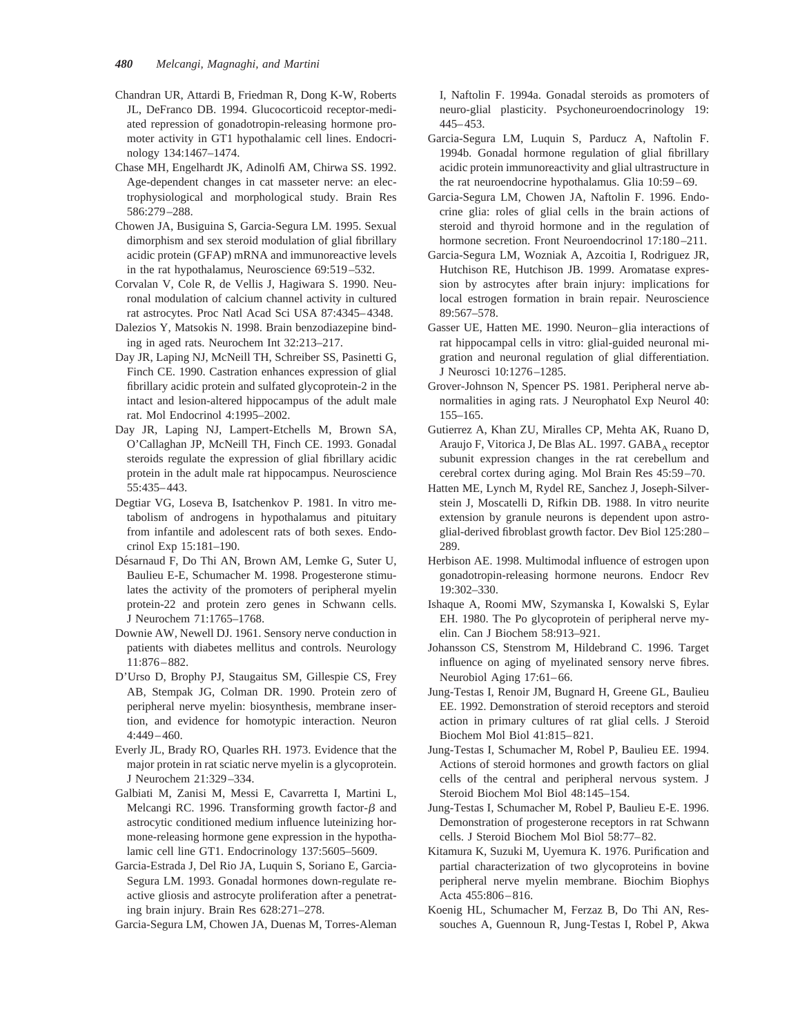- Chandran UR, Attardi B, Friedman R, Dong K-W, Roberts JL, DeFranco DB. 1994. Glucocorticoid receptor-mediated repression of gonadotropin-releasing hormone promoter activity in GT1 hypothalamic cell lines. Endocrinology 134:1467–1474.
- Chase MH, Engelhardt JK, Adinolfi AM, Chirwa SS. 1992. Age-dependent changes in cat masseter nerve: an electrophysiological and morphological study. Brain Res 586:279–288.
- Chowen JA, Busiguina S, Garcia-Segura LM. 1995. Sexual dimorphism and sex steroid modulation of glial fibrillary acidic protein (GFAP) mRNA and immunoreactive levels in the rat hypothalamus, Neuroscience 69:519–532.
- Corvalan V, Cole R, de Vellis J, Hagiwara S. 1990. Neuronal modulation of calcium channel activity in cultured rat astrocytes. Proc Natl Acad Sci USA 87:4345–4348.
- Dalezios Y, Matsokis N. 1998. Brain benzodiazepine binding in aged rats. Neurochem Int 32:213–217.
- Day JR, Laping NJ, McNeill TH, Schreiber SS, Pasinetti G, Finch CE. 1990. Castration enhances expression of glial fibrillary acidic protein and sulfated glycoprotein-2 in the intact and lesion-altered hippocampus of the adult male rat. Mol Endocrinol 4:1995–2002.
- Day JR, Laping NJ, Lampert-Etchells M, Brown SA, O'Callaghan JP, McNeill TH, Finch CE. 1993. Gonadal steroids regulate the expression of glial fibrillary acidic protein in the adult male rat hippocampus. Neuroscience 55:435–443.
- Degtiar VG, Loseva B, Isatchenkov P. 1981. In vitro metabolism of androgens in hypothalamus and pituitary from infantile and adolescent rats of both sexes. Endocrinol Exp 15:181–190.
- Désarnaud F, Do Thi AN, Brown AM, Lemke G, Suter U, Baulieu E-E, Schumacher M. 1998. Progesterone stimulates the activity of the promoters of peripheral myelin protein-22 and protein zero genes in Schwann cells. J Neurochem 71:1765–1768.
- Downie AW, Newell DJ. 1961. Sensory nerve conduction in patients with diabetes mellitus and controls. Neurology 11:876–882.
- D'Urso D, Brophy PJ, Staugaitus SM, Gillespie CS, Frey AB, Stempak JG, Colman DR. 1990. Protein zero of peripheral nerve myelin: biosynthesis, membrane insertion, and evidence for homotypic interaction. Neuron 4:449–460.
- Everly JL, Brady RO, Quarles RH. 1973. Evidence that the major protein in rat sciatic nerve myelin is a glycoprotein. J Neurochem 21:329–334.
- Galbiati M, Zanisi M, Messi E, Cavarretta I, Martini L, Melcangi RC. 1996. Transforming growth factor- $\beta$  and astrocytic conditioned medium influence luteinizing hormone-releasing hormone gene expression in the hypothalamic cell line GT1. Endocrinology 137:5605–5609.
- Garcia-Estrada J, Del Rio JA, Luquin S, Soriano E, Garcia-Segura LM. 1993. Gonadal hormones down-regulate reactive gliosis and astrocyte proliferation after a penetrating brain injury. Brain Res 628:271–278.

Garcia-Segura LM, Chowen JA, Duenas M, Torres-Aleman

I, Naftolin F. 1994a. Gonadal steroids as promoters of neuro-glial plasticity. Psychoneuroendocrinology 19: 445–453.

- Garcia-Segura LM, Luquin S, Parducz A, Naftolin F. 1994b. Gonadal hormone regulation of glial fibrillary acidic protein immunoreactivity and glial ultrastructure in the rat neuroendocrine hypothalamus. Glia 10:59–69.
- Garcia-Segura LM, Chowen JA, Naftolin F. 1996. Endocrine glia: roles of glial cells in the brain actions of steroid and thyroid hormone and in the regulation of hormone secretion. Front Neuroendocrinol 17:180–211.
- Garcia-Segura LM, Wozniak A, Azcoitia I, Rodriguez JR, Hutchison RE, Hutchison JB. 1999. Aromatase expression by astrocytes after brain injury: implications for local estrogen formation in brain repair. Neuroscience 89:567–578.
- Gasser UE, Hatten ME. 1990. Neuron–glia interactions of rat hippocampal cells in vitro: glial-guided neuronal migration and neuronal regulation of glial differentiation. J Neurosci 10:1276–1285.
- Grover-Johnson N, Spencer PS. 1981. Peripheral nerve abnormalities in aging rats. J Neurophatol Exp Neurol 40: 155–165.
- Gutierrez A, Khan ZU, Miralles CP, Mehta AK, Ruano D, Araujo F, Vitorica J, De Blas AL. 1997. GABA<sub>A</sub> receptor subunit expression changes in the rat cerebellum and cerebral cortex during aging. Mol Brain Res 45:59–70.
- Hatten ME, Lynch M, Rydel RE, Sanchez J, Joseph-Silverstein J, Moscatelli D, Rifkin DB. 1988. In vitro neurite extension by granule neurons is dependent upon astroglial-derived fibroblast growth factor. Dev Biol 125:280– 289.
- Herbison AE. 1998. Multimodal influence of estrogen upon gonadotropin-releasing hormone neurons. Endocr Rev 19:302–330.
- Ishaque A, Roomi MW, Szymanska I, Kowalski S, Eylar EH. 1980. The Po glycoprotein of peripheral nerve myelin. Can J Biochem 58:913–921.
- Johansson CS, Stenstrom M, Hildebrand C. 1996. Target influence on aging of myelinated sensory nerve fibres. Neurobiol Aging 17:61–66.
- Jung-Testas I, Renoir JM, Bugnard H, Greene GL, Baulieu EE. 1992. Demonstration of steroid receptors and steroid action in primary cultures of rat glial cells. J Steroid Biochem Mol Biol 41:815–821.
- Jung-Testas I, Schumacher M, Robel P, Baulieu EE. 1994. Actions of steroid hormones and growth factors on glial cells of the central and peripheral nervous system. J Steroid Biochem Mol Biol 48:145–154.
- Jung-Testas I, Schumacher M, Robel P, Baulieu E-E. 1996. Demonstration of progesterone receptors in rat Schwann cells. J Steroid Biochem Mol Biol 58:77–82.
- Kitamura K, Suzuki M, Uyemura K. 1976. Purification and partial characterization of two glycoproteins in bovine peripheral nerve myelin membrane. Biochim Biophys Acta 455:806–816.
- Koenig HL, Schumacher M, Ferzaz B, Do Thi AN, Ressouches A, Guennoun R, Jung-Testas I, Robel P, Akwa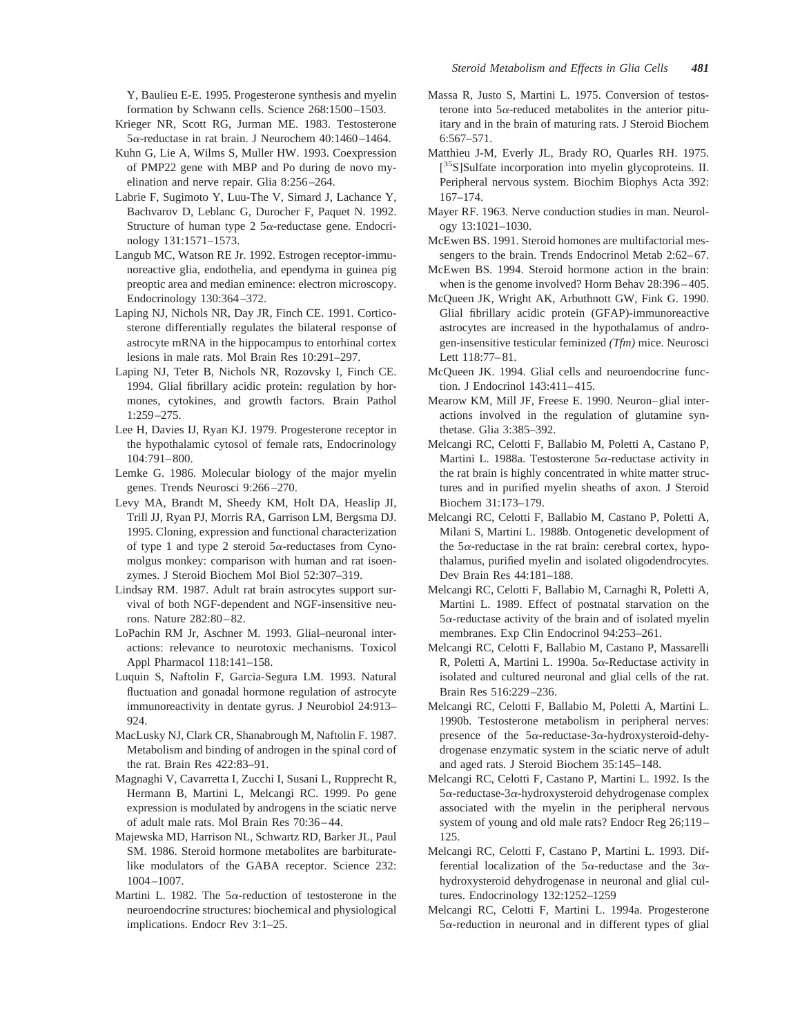Y, Baulieu E-E. 1995. Progesterone synthesis and myelin formation by Schwann cells. Science 268:1500–1503.

- Krieger NR, Scott RG, Jurman ME. 1983. Testosterone 5a-reductase in rat brain. J Neurochem 40:1460–1464.
- Kuhn G, Lie A, Wilms S, Muller HW. 1993. Coexpression of PMP22 gene with MBP and Po during de novo myelination and nerve repair. Glia 8:256–264.
- Labrie F, Sugimoto Y, Luu-The V, Simard J, Lachance Y, Bachvarov D, Leblanc G, Durocher F, Paquet N. 1992. Structure of human type 2  $5\alpha$ -reductase gene. Endocrinology 131:1571–1573.
- Langub MC, Watson RE Jr. 1992. Estrogen receptor-immunoreactive glia, endothelia, and ependyma in guinea pig preoptic area and median eminence: electron microscopy. Endocrinology 130:364–372.
- Laping NJ, Nichols NR, Day JR, Finch CE. 1991. Corticosterone differentially regulates the bilateral response of astrocyte mRNA in the hippocampus to entorhinal cortex lesions in male rats. Mol Brain Res 10:291–297.
- Laping NJ, Teter B, Nichols NR, Rozovsky I, Finch CE. 1994. Glial fibrillary acidic protein: regulation by hormones, cytokines, and growth factors. Brain Pathol 1:259–275.
- Lee H, Davies IJ, Ryan KJ. 1979. Progesterone receptor in the hypothalamic cytosol of female rats, Endocrinology 104:791–800.
- Lemke G. 1986. Molecular biology of the major myelin genes. Trends Neurosci 9:266–270.
- Levy MA, Brandt M, Sheedy KM, Holt DA, Heaslip JI, Trill JJ, Ryan PJ, Morris RA, Garrison LM, Bergsma DJ. 1995. Cloning, expression and functional characterization of type 1 and type 2 steroid  $5\alpha$ -reductases from Cynomolgus monkey: comparison with human and rat isoenzymes. J Steroid Biochem Mol Biol 52:307–319.
- Lindsay RM. 1987. Adult rat brain astrocytes support survival of both NGF-dependent and NGF-insensitive neurons. Nature 282:80–82.
- LoPachin RM Jr, Aschner M. 1993. Glial–neuronal interactions: relevance to neurotoxic mechanisms. Toxicol Appl Pharmacol 118:141–158.
- Luquin S, Naftolin F, Garcia-Segura LM. 1993. Natural fluctuation and gonadal hormone regulation of astrocyte immunoreactivity in dentate gyrus. J Neurobiol 24:913– 924.
- MacLusky NJ, Clark CR, Shanabrough M, Naftolin F. 1987. Metabolism and binding of androgen in the spinal cord of the rat. Brain Res 422:83–91.
- Magnaghi V, Cavarretta I, Zucchi I, Susani L, Rupprecht R, Hermann B, Martini L, Melcangi RC. 1999. Po gene expression is modulated by androgens in the sciatic nerve of adult male rats. Mol Brain Res 70:36–44.
- Majewska MD, Harrison NL, Schwartz RD, Barker JL, Paul SM. 1986. Steroid hormone metabolites are barbituratelike modulators of the GABA receptor. Science 232: 1004–1007.
- Martini L. 1982. The  $5\alpha$ -reduction of testosterone in the neuroendocrine structures: biochemical and physiological implications. Endocr Rev 3:1–25.
- Massa R, Justo S, Martini L. 1975. Conversion of testosterone into  $5\alpha$ -reduced metabolites in the anterior pituitary and in the brain of maturing rats. J Steroid Biochem 6:567–571.
- Matthieu J-M, Everly JL, Brady RO, Quarles RH. 1975. [<sup>35</sup>S]Sulfate incorporation into myelin glycoproteins. II. Peripheral nervous system. Biochim Biophys Acta 392: 167–174.
- Mayer RF. 1963. Nerve conduction studies in man. Neurology 13:1021–1030.
- McEwen BS. 1991. Steroid homones are multifactorial messengers to the brain. Trends Endocrinol Metab 2:62–67.
- McEwen BS. 1994. Steroid hormone action in the brain: when is the genome involved? Horm Behav 28:396–405.
- McQueen JK, Wright AK, Arbuthnott GW, Fink G. 1990. Glial fibrillary acidic protein (GFAP)-immunoreactive astrocytes are increased in the hypothalamus of androgen-insensitive testicular feminized *(Tfm)* mice. Neurosci Lett 118:77–81.
- McQueen JK. 1994. Glial cells and neuroendocrine function. J Endocrinol 143:411–415.
- Mearow KM, Mill JF, Freese E. 1990. Neuron–glial interactions involved in the regulation of glutamine synthetase. Glia 3:385–392.
- Melcangi RC, Celotti F, Ballabio M, Poletti A, Castano P, Martini L. 1988a. Testosterone  $5\alpha$ -reductase activity in the rat brain is highly concentrated in white matter structures and in purified myelin sheaths of axon. J Steroid Biochem 31:173–179.
- Melcangi RC, Celotti F, Ballabio M, Castano P, Poletti A, Milani S, Martini L. 1988b. Ontogenetic development of the  $5\alpha$ -reductase in the rat brain: cerebral cortex, hypothalamus, purified myelin and isolated oligodendrocytes. Dev Brain Res 44:181–188.
- Melcangi RC, Celotti F, Ballabio M, Carnaghi R, Poletti A, Martini L. 1989. Effect of postnatal starvation on the  $5\alpha$ -reductase activity of the brain and of isolated myelin membranes. Exp Clin Endocrinol 94:253–261.
- Melcangi RC, Celotti F, Ballabio M, Castano P, Massarelli R, Poletti A, Martini L. 1990a.  $5\alpha$ -Reductase activity in isolated and cultured neuronal and glial cells of the rat. Brain Res 516:229–236.
- Melcangi RC, Celotti F, Ballabio M, Poletti A, Martini L. 1990b. Testosterone metabolism in peripheral nerves: presence of the  $5\alpha$ -reductase-3 $\alpha$ -hydroxysteroid-dehydrogenase enzymatic system in the sciatic nerve of adult and aged rats. J Steroid Biochem 35:145–148.
- Melcangi RC, Celotti F, Castano P, Martini L. 1992. Is the  $5\alpha$ -reductase-3 $\alpha$ -hydroxysteroid dehydrogenase complex associated with the myelin in the peripheral nervous system of young and old male rats? Endocr Reg 26;119– 125.
- Melcangi RC, Celotti F, Castano P, Martini L. 1993. Differential localization of the  $5\alpha$ -reductase and the  $3\alpha$ hydroxysteroid dehydrogenase in neuronal and glial cultures. Endocrinology 132:1252–1259
- Melcangi RC, Celotti F, Martini L. 1994a. Progesterone  $5\alpha$ -reduction in neuronal and in different types of glial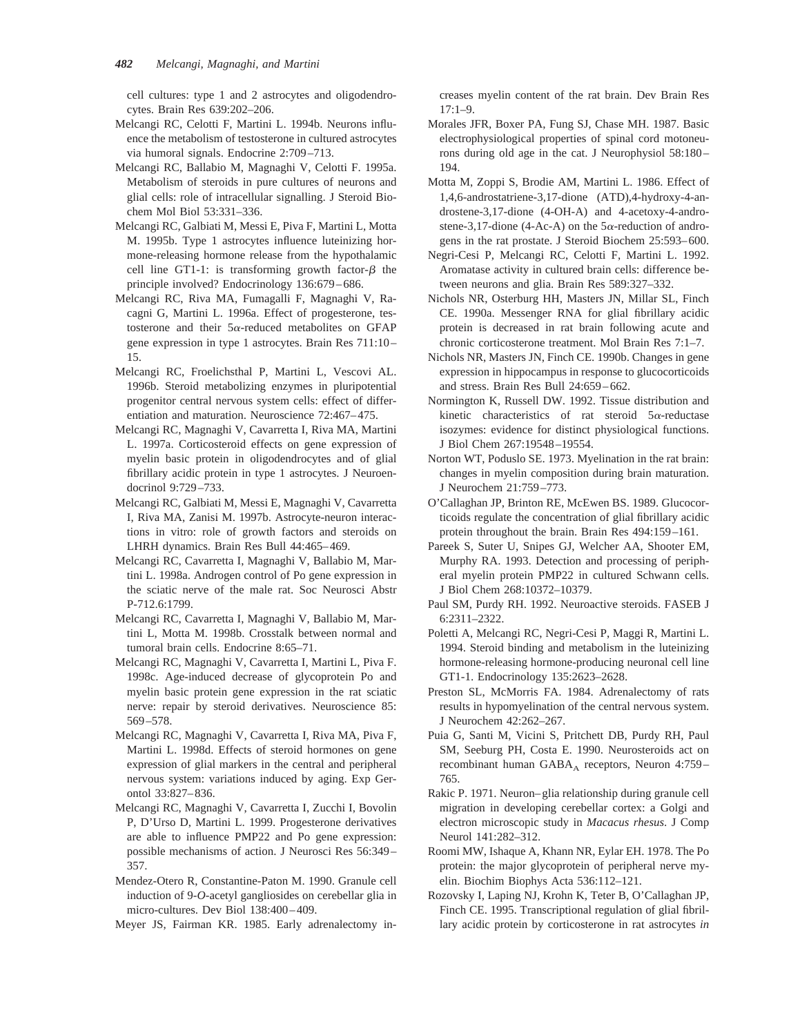cell cultures: type 1 and 2 astrocytes and oligodendrocytes. Brain Res 639:202–206.

- Melcangi RC, Celotti F, Martini L. 1994b. Neurons influence the metabolism of testosterone in cultured astrocytes via humoral signals. Endocrine 2:709–713.
- Melcangi RC, Ballabio M, Magnaghi V, Celotti F. 1995a. Metabolism of steroids in pure cultures of neurons and glial cells: role of intracellular signalling. J Steroid Biochem Mol Biol 53:331–336.
- Melcangi RC, Galbiati M, Messi E, Piva F, Martini L, Motta M. 1995b. Type 1 astrocytes influence luteinizing hormone-releasing hormone release from the hypothalamic cell line GT1-1: is transforming growth factor- $\beta$  the principle involved? Endocrinology 136:679–686.
- Melcangi RC, Riva MA, Fumagalli F, Magnaghi V, Racagni G, Martini L. 1996a. Effect of progesterone, testosterone and their  $5\alpha$ -reduced metabolites on GFAP gene expression in type 1 astrocytes. Brain Res 711:10– 15.
- Melcangi RC, Froelichsthal P, Martini L, Vescovi AL. 1996b. Steroid metabolizing enzymes in pluripotential progenitor central nervous system cells: effect of differentiation and maturation. Neuroscience 72:467–475.
- Melcangi RC, Magnaghi V, Cavarretta I, Riva MA, Martini L. 1997a. Corticosteroid effects on gene expression of myelin basic protein in oligodendrocytes and of glial fibrillary acidic protein in type 1 astrocytes. J Neuroendocrinol 9:729–733.
- Melcangi RC, Galbiati M, Messi E, Magnaghi V, Cavarretta I, Riva MA, Zanisi M. 1997b. Astrocyte-neuron interactions in vitro: role of growth factors and steroids on LHRH dynamics. Brain Res Bull 44:465–469.
- Melcangi RC, Cavarretta I, Magnaghi V, Ballabio M, Martini L. 1998a. Androgen control of Po gene expression in the sciatic nerve of the male rat. Soc Neurosci Abstr P-712.6:1799.
- Melcangi RC, Cavarretta I, Magnaghi V, Ballabio M, Martini L, Motta M. 1998b. Crosstalk between normal and tumoral brain cells. Endocrine 8:65–71.
- Melcangi RC, Magnaghi V, Cavarretta I, Martini L, Piva F. 1998c. Age-induced decrease of glycoprotein Po and myelin basic protein gene expression in the rat sciatic nerve: repair by steroid derivatives. Neuroscience 85: 569–578.
- Melcangi RC, Magnaghi V, Cavarretta I, Riva MA, Piva F, Martini L. 1998d. Effects of steroid hormones on gene expression of glial markers in the central and peripheral nervous system: variations induced by aging. Exp Gerontol 33:827–836.
- Melcangi RC, Magnaghi V, Cavarretta I, Zucchi I, Bovolin P, D'Urso D, Martini L. 1999. Progesterone derivatives are able to influence PMP22 and Po gene expression: possible mechanisms of action. J Neurosci Res 56:349– 357.
- Mendez-Otero R, Constantine-Paton M. 1990. Granule cell induction of 9-*O*-acetyl gangliosides on cerebellar glia in micro-cultures. Dev Biol 138:400–409.
- Meyer JS, Fairman KR. 1985. Early adrenalectomy in-

creases myelin content of the rat brain. Dev Brain Res 17:1–9.

- Morales JFR, Boxer PA, Fung SJ, Chase MH. 1987. Basic electrophysiological properties of spinal cord motoneurons during old age in the cat. J Neurophysiol 58:180– 194.
- Motta M, Zoppi S, Brodie AM, Martini L. 1986. Effect of 1,4,6-androstatriene-3,17-dione (ATD),4-hydroxy-4-androstene-3,17-dione (4-OH-A) and 4-acetoxy-4-androstene-3,17-dione (4-Ac-A) on the  $5\alpha$ -reduction of androgens in the rat prostate. J Steroid Biochem 25:593–600.
- Negri-Cesi P, Melcangi RC, Celotti F, Martini L. 1992. Aromatase activity in cultured brain cells: difference between neurons and glia. Brain Res 589:327–332.
- Nichols NR, Osterburg HH, Masters JN, Millar SL, Finch CE. 1990a. Messenger RNA for glial fibrillary acidic protein is decreased in rat brain following acute and chronic corticosterone treatment. Mol Brain Res 7:1–7.
- Nichols NR, Masters JN, Finch CE. 1990b. Changes in gene expression in hippocampus in response to glucocorticoids and stress. Brain Res Bull 24:659–662.
- Normington K, Russell DW. 1992. Tissue distribution and kinetic characteristics of rat steroid  $5\alpha$ -reductase isozymes: evidence for distinct physiological functions. J Biol Chem 267:19548–19554.
- Norton WT, Poduslo SE. 1973. Myelination in the rat brain: changes in myelin composition during brain maturation. J Neurochem 21:759–773.
- O'Callaghan JP, Brinton RE, McEwen BS. 1989. Glucocorticoids regulate the concentration of glial fibrillary acidic protein throughout the brain. Brain Res 494:159–161.
- Pareek S, Suter U, Snipes GJ, Welcher AA, Shooter EM, Murphy RA. 1993. Detection and processing of peripheral myelin protein PMP22 in cultured Schwann cells. J Biol Chem 268:10372–10379.
- Paul SM, Purdy RH. 1992. Neuroactive steroids. FASEB J 6:2311–2322.
- Poletti A, Melcangi RC, Negri-Cesi P, Maggi R, Martini L. 1994. Steroid binding and metabolism in the luteinizing hormone-releasing hormone-producing neuronal cell line GT1-1. Endocrinology 135:2623–2628.
- Preston SL, McMorris FA. 1984. Adrenalectomy of rats results in hypomyelination of the central nervous system. J Neurochem 42:262–267.
- Puia G, Santi M, Vicini S, Pritchett DB, Purdy RH, Paul SM, Seeburg PH, Costa E. 1990. Neurosteroids act on recombinant human  $GABA_A$  receptors, Neuron 4:759– 765.
- Rakic P. 1971. Neuron–glia relationship during granule cell migration in developing cerebellar cortex: a Golgi and electron microscopic study in *Macacus rhesus*. J Comp Neurol 141:282–312.
- Roomi MW, Ishaque A, Khann NR, Eylar EH. 1978. The Po protein: the major glycoprotein of peripheral nerve myelin. Biochim Biophys Acta 536:112–121.
- Rozovsky I, Laping NJ, Krohn K, Teter B, O'Callaghan JP, Finch CE. 1995. Transcriptional regulation of glial fibrillary acidic protein by corticosterone in rat astrocytes *in*